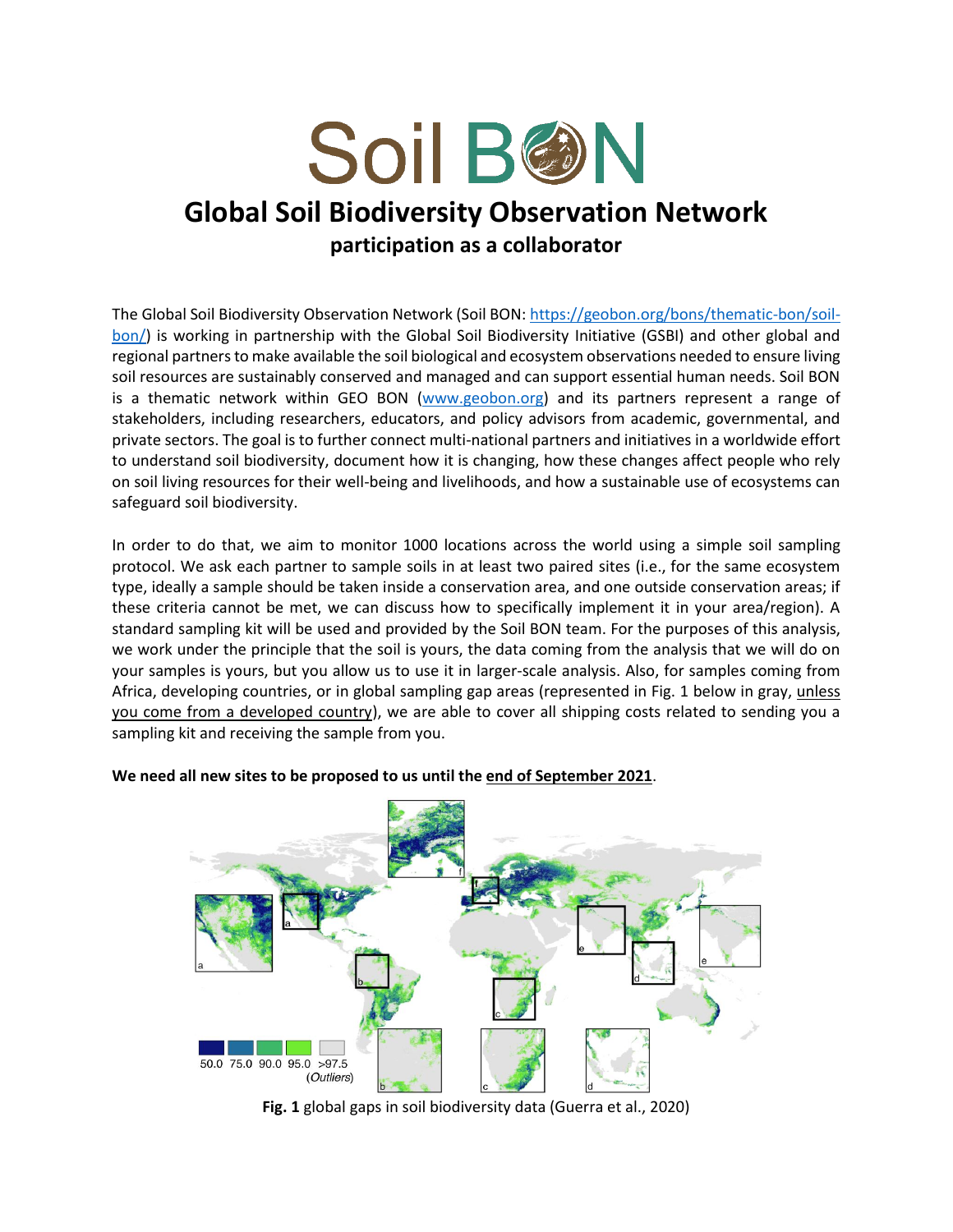

## **Global Soil Biodiversity Observation Network**

**participation as a collaborator**

The Global Soil Biodiversity Observation Network (Soil BON[: https://geobon.org/bons/thematic-bon/soil](https://geobon.org/bons/thematic-bon/soil-bon/)[bon/\)](https://geobon.org/bons/thematic-bon/soil-bon/) is working in partnership with the Global Soil Biodiversity Initiative (GSBI) and other global and regional partners to make available the soil biological and ecosystem observations needed to ensure living soil resources are sustainably conserved and managed and can support essential human needs. Soil BON is a thematic network within GEO BON [\(www.geobon.org\)](http://www.geobon.org/) and its partners represent a range of stakeholders, including researchers, educators, and policy advisors from academic, governmental, and private sectors. The goal is to further connect multi-national partners and initiatives in a worldwide effort to understand soil biodiversity, document how it is changing, how these changes affect people who rely on soil living resources for their well-being and livelihoods, and how a sustainable use of ecosystems can safeguard soil biodiversity.

In order to do that, we aim to monitor 1000 locations across the world using a simple soil sampling protocol. We ask each partner to sample soils in at least two paired sites (i.e., for the same ecosystem type, ideally a sample should be taken inside a conservation area, and one outside conservation areas; if these criteria cannot be met, we can discuss how to specifically implement it in your area/region). A standard sampling kit will be used and provided by the Soil BON team. For the purposes of this analysis, we work under the principle that the soil is yours, the data coming from the analysis that we will do on your samples is yours, but you allow us to use it in larger-scale analysis. Also, for samples coming from Africa, developing countries, or in global sampling gap areas (represented in Fig. 1 below in gray, unless you come from a developed country), we are able to cover all shipping costs related to sending you a sampling kit and receiving the sample from you.



## **We need all new sites to be proposed to us until the end of September 2021**.

**Fig. 1** global gaps in soil biodiversity data (Guerra et al., 2020)